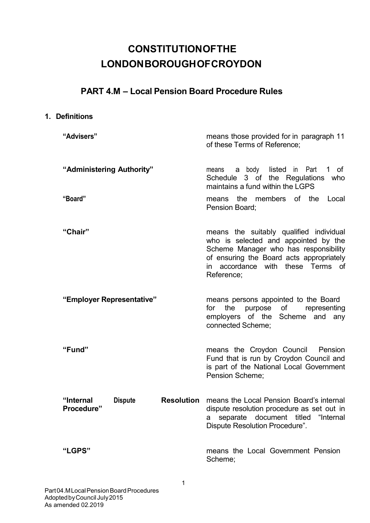# **CONSTITUTION OF THE** LONDON BOROUGH OF CROYDON

# PART 4.M – Local Pension Board Procedure Rules

# 1. Definitions

| "Advisers"                                                     | means those provided for in paragraph 11<br>of these Terms of Reference;                                                                                                                                                |
|----------------------------------------------------------------|-------------------------------------------------------------------------------------------------------------------------------------------------------------------------------------------------------------------------|
| "Administering Authority"                                      | a body<br>listed in<br>Part<br>1 of<br>means<br>Schedule 3 of the Regulations who<br>maintains a fund within the LGPS                                                                                                   |
| "Board"                                                        | the members of the Local<br>means<br>Pension Board;                                                                                                                                                                     |
| "Chair"                                                        | means the suitably qualified individual<br>who is selected and appointed by the<br>Scheme Manager who has responsibility<br>of ensuring the Board acts appropriately<br>in accordance with these Terms of<br>Reference; |
| "Employer Representative"                                      | means persons appointed to the Board<br>the<br>purpose of<br>for<br>representing<br>employers of the Scheme and any<br>connected Scheme;                                                                                |
| "Fund"                                                         | means the Croydon Council Pension<br>Fund that is run by Croydon Council and<br>is part of the National Local Government<br>Pension Scheme;                                                                             |
| "Internal<br><b>Resolution</b><br><b>Dispute</b><br>Procedure" | means the Local Pension Board's internal<br>dispute resolution procedure as set out in<br>separate document titled "Internal<br>а<br>Dispute Resolution Procedure".                                                     |
| "LGPS"                                                         | means the Local Government Pension<br>Scheme;                                                                                                                                                                           |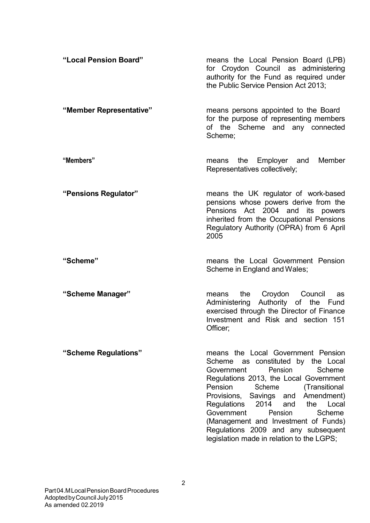| "Local Pension Board"   | means the Local Pension Board (LPB)<br>for Croydon Council as administering<br>authority for the Fund as required under<br>the Public Service Pension Act 2013;                                                                                                                                                                                                                                                                                            |
|-------------------------|------------------------------------------------------------------------------------------------------------------------------------------------------------------------------------------------------------------------------------------------------------------------------------------------------------------------------------------------------------------------------------------------------------------------------------------------------------|
| "Member Representative" | means persons appointed to the Board<br>for the purpose of representing members<br>of the Scheme and any connected<br>Scheme;                                                                                                                                                                                                                                                                                                                              |
| "Members"               | Member<br>the Employer and<br>means<br>Representatives collectively;                                                                                                                                                                                                                                                                                                                                                                                       |
| "Pensions Regulator"    | means the UK regulator of work-based<br>pensions whose powers derive from the<br>Pensions Act 2004 and its powers<br>inherited from the Occupational Pensions<br>Regulatory Authority (OPRA) from 6 April<br>2005                                                                                                                                                                                                                                          |
| "Scheme"                | means the Local Government Pension<br>Scheme in England and Wales;                                                                                                                                                                                                                                                                                                                                                                                         |
| "Scheme Manager"        | the Croydon Council<br>means<br>as<br>Administering Authority of the Fund<br>exercised through the Director of Finance<br>Investment and Risk and section 151<br>Officer;                                                                                                                                                                                                                                                                                  |
| "Scheme Regulations"    | means the Local Government Pension<br>as constituted by<br>the Local<br>Scheme<br>Government<br>Pension<br>Scheme<br>Regulations 2013, the Local Government<br>Pension<br>Scheme<br>(Transitional<br>Provisions,<br>Savings<br>and Amendment)<br>Regulations<br>2014<br>the<br>Local<br>and<br>Government<br>Scheme<br>Pension<br>(Management and Investment of Funds)<br>Regulations 2009 and any subsequent<br>legislation made in relation to the LGPS; |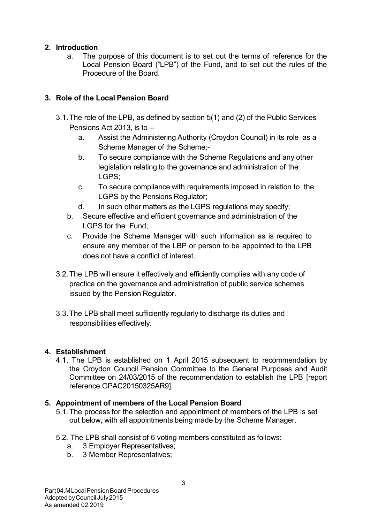# 2. Introduction

a. The purpose of this document is to set out the terms of reference for the Local Pension Board ("LPB") of the Fund, and to set out the rules of the Procedure of the Board.

# 3. Role of the Local Pension Board

- 3.1. The role of the LPB, as defined by section 5(1) and (2) of the Public Services Pensions Act 2013, is to –
	- a. Assist the Administering Authority (Croydon Council) in its role as a Scheme Manager of the Scheme;-
	- b. To secure compliance with the Scheme Regulations and any other legislation relating to the governance and administration of the LGPS;
	- c. To secure compliance with requirements imposed in relation to the LGPS by the Pensions Regulator;
	- d. In such other matters as the LGPS regulations may specify;
	- b. Secure effective and efficient governance and administration of the LGPS for the Fund;
	- c. Provide the Scheme Manager with such information as is required to ensure any member of the LBP or person to be appointed to the LPB does not have a conflict of interest.
- 3.2. The LPB will ensure it effectively and efficiently complies with any code of practice on the governance and administration of public service schemes issued by the Pension Regulator.
- 3.3. The LPB shall meet sufficiently regularly to discharge its duties and responsibilities effectively.

# 4. Establishment

4.1. The LPB is established on 1 April 2015 subsequent to recommendation by the Croydon Council Pension Committee to the General Purposes and Audit Committee on 24/03/2015 of the recommendation to establish the LPB [report reference GPAC20150325AR9].

# 5. Appointment of members of the Local Pension Board

- 5.1. The process for the selection and appointment of members of the LPB is set out below, with all appointments being made by the Scheme Manager.
- 5.2. The LPB shall consist of 6 voting members constituted as follows:
	- a. 3 Employer Representatives;
	- b. 3 Member Representatives;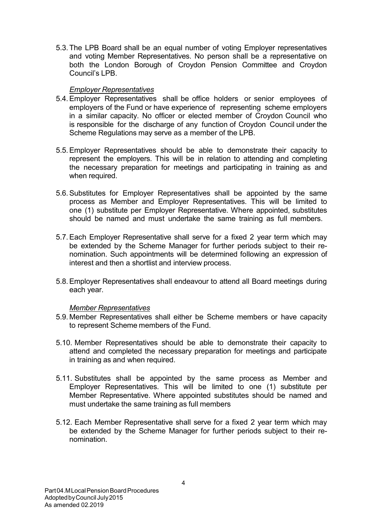5.3. The LPB Board shall be an equal number of voting Employer representatives and voting Member Representatives. No person shall be a representative on both the London Borough of Croydon Pension Committee and Croydon Council's LPB.

#### Employer Representatives

- 5.4. Employer Representatives shall be office holders or senior employees of employers of the Fund or have experience of representing scheme employers in a similar capacity. No officer or elected member of Croydon Council who is responsible for the discharge of any function of Croydon Council under the Scheme Regulations may serve as a member of the LPB.
- 5.5. Employer Representatives should be able to demonstrate their capacity to represent the employers. This will be in relation to attending and completing the necessary preparation for meetings and participating in training as and when required.
- 5.6. Substitutes for Employer Representatives shall be appointed by the same process as Member and Employer Representatives. This will be limited to one (1) substitute per Employer Representative. Where appointed, substitutes should be named and must undertake the same training as full members.
- 5.7. Each Employer Representative shall serve for a fixed 2 year term which may be extended by the Scheme Manager for further periods subject to their renomination. Such appointments will be determined following an expression of interest and then a shortlist and interview process.
- 5.8. Employer Representatives shall endeavour to attend all Board meetings during each year.

#### Member Representatives

- 5.9. Member Representatives shall either be Scheme members or have capacity to represent Scheme members of the Fund.
- 5.10. Member Representatives should be able to demonstrate their capacity to attend and completed the necessary preparation for meetings and participate in training as and when required.
- 5.11. Substitutes shall be appointed by the same process as Member and Employer Representatives. This will be limited to one (1) substitute per Member Representative. Where appointed substitutes should be named and must undertake the same training as full members
- 5.12. Each Member Representative shall serve for a fixed 2 year term which may be extended by the Scheme Manager for further periods subject to their renomination.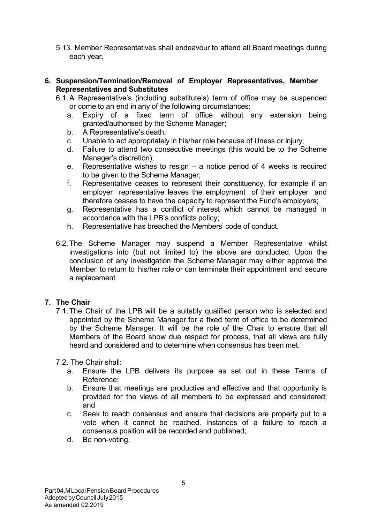5.13. Member Representatives shall endeavour to attend all Board meetings during each year.

# 6. Suspension/Termination/Removal of Employer Representatives, Member Representatives and Substitutes

- 6.1. A Representative's (including substitute's) term of office may be suspended or come to an end in any of the following circumstances:
	- a. Expiry of a fixed term of office without any extension being granted/authorised by the Scheme Manager;
	- b. A Representative's death;
	- c. Unable to act appropriately in his/her role because of illness or injury;
	- d. Failure to attend two consecutive meetings (this would be to the Scheme Manager's discretion);
	- e. Representative wishes to resign a notice period of 4 weeks is required to be given to the Scheme Manager;
	- f. Representative ceases to represent their constituency, for example if an employer representative leaves the employment of their employer and therefore ceases to have the capacity to represent the Fund's employers;
	- g. Representative has a conflict of interest which cannot be managed in accordance with the LPB's conflicts policy;
	- h. Representative has breached the Members' code of conduct.
- 6.2. The Scheme Manager may suspend a Member Representative whilst investigations into (but not limited to) the above are conducted. Upon the conclusion of any investigation the Scheme Manager may either approve the Member to return to his/her role or can terminate their appointment and secure a replacement.

# 7. The Chair

- 7.1. The Chair of the LPB will be a suitably qualified person who is selected and appointed by the Scheme Manager for a fixed term of office to be determined by the Scheme Manager. It will be the role of the Chair to ensure that all Members of the Board show due respect for process, that all views are fully heard and considered and to determine when consensus has been met.
- 7.2. The Chair shall:
	- a. Ensure the LPB delivers its purpose as set out in these Terms of Reference;
	- b. Ensure that meetings are productive and effective and that opportunity is provided for the views of all members to be expressed and considered; and
	- c. Seek to reach consensus and ensure that decisions are properly put to a vote when it cannot be reached. Instances of a failure to reach a consensus position will be recorded and published;
	- d. Be non-voting.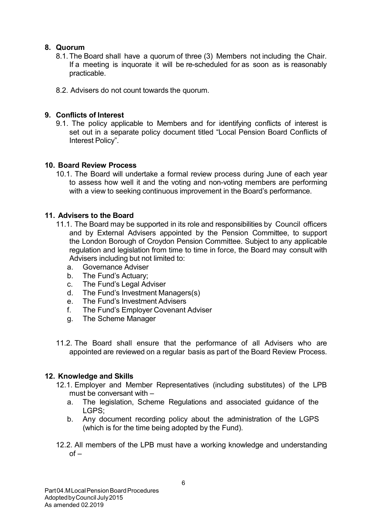# 8. Quorum

- 8.1. The Board shall have a quorum of three (3) Members not including the Chair. If a meeting is inquorate it will be re-scheduled for as soon as is reasonably practicable.
- 8.2. Advisers do not count towards the quorum.

# 9. Conflicts of Interest

9.1. The policy applicable to Members and for identifying conflicts of interest is set out in a separate policy document titled "Local Pension Board Conflicts of Interest Policy".

#### 10. Board Review Process

10.1. The Board will undertake a formal review process during June of each year to assess how well it and the voting and non-voting members are performing with a view to seeking continuous improvement in the Board's performance.

# 11. Advisers to the Board

- 11.1. The Board may be supported in its role and responsibilities by Council officers and by External Advisers appointed by the Pension Committee, to support the London Borough of Croydon Pension Committee. Subject to any applicable regulation and legislation from time to time in force, the Board may consult with Advisers including but not limited to:
	- a. Governance Adviser
	- b. The Fund's Actuary;
	- c. The Fund's Legal Adviser
	- d. The Fund's Investment Managers(s)
	- e. The Fund's Investment Advisers
	- f. The Fund's Employer Covenant Adviser
	- g. The Scheme Manager
- 11.2. The Board shall ensure that the performance of all Advisers who are appointed are reviewed on a regular basis as part of the Board Review Process.

# 12. Knowledge and Skills

- 12.1. Employer and Member Representatives (including substitutes) of the LPB must be conversant with –
	- a. The legislation, Scheme Regulations and associated guidance of the LGPS;
	- b. Any document recording policy about the administration of the LGPS (which is for the time being adopted by the Fund).
- 12.2. All members of the LPB must have a working knowledge and understanding  $of -$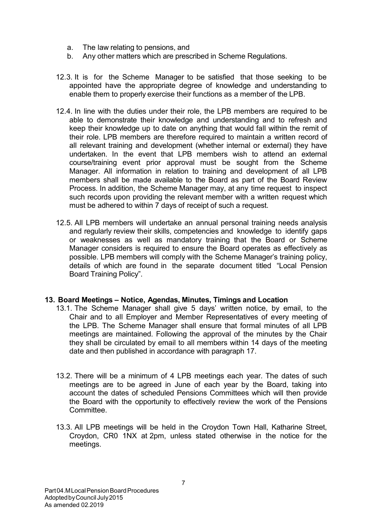- a. The law relating to pensions, and
- b. Any other matters which are prescribed in Scheme Regulations.
- 12.3. It is for the Scheme Manager to be satisfied that those seeking to be appointed have the appropriate degree of knowledge and understanding to enable them to properly exercise their functions as a member of the LPB.
- 12.4. In line with the duties under their role, the LPB members are required to be able to demonstrate their knowledge and understanding and to refresh and keep their knowledge up to date on anything that would fall within the remit of their role. LPB members are therefore required to maintain a written record of all relevant training and development (whether internal or external) they have undertaken. In the event that LPB members wish to attend an external course/training event prior approval must be sought from the Scheme Manager. All information in relation to training and development of all LPB members shall be made available to the Board as part of the Board Review Process. In addition, the Scheme Manager may, at any time request to inspect such records upon providing the relevant member with a written request which must be adhered to within 7 days of receipt of such a request.
- 12.5. All LPB members will undertake an annual personal training needs analysis and regularly review their skills, competencies and knowledge to identify gaps or weaknesses as well as mandatory training that the Board or Scheme Manager considers is required to ensure the Board operates as effectively as possible. LPB members will comply with the Scheme Manager's training policy, details of which are found in the separate document titled "Local Pension Board Training Policy".

#### 13. Board Meetings – Notice, Agendas, Minutes, Timings and Location

- 13.1. The Scheme Manager shall give 5 days' written notice, by email, to the Chair and to all Employer and Member Representatives of every meeting of the LPB. The Scheme Manager shall ensure that formal minutes of all LPB meetings are maintained. Following the approval of the minutes by the Chair they shall be circulated by email to all members within 14 days of the meeting date and then published in accordance with paragraph 17.
- 13.2. There will be a minimum of 4 LPB meetings each year. The dates of such meetings are to be agreed in June of each year by the Board, taking into account the dates of scheduled Pensions Committees which will then provide the Board with the opportunity to effectively review the work of the Pensions Committee.
- 13.3. All LPB meetings will be held in the Croydon Town Hall, Katharine Street, Croydon, CR0 1NX at 2pm, unless stated otherwise in the notice for the meetings.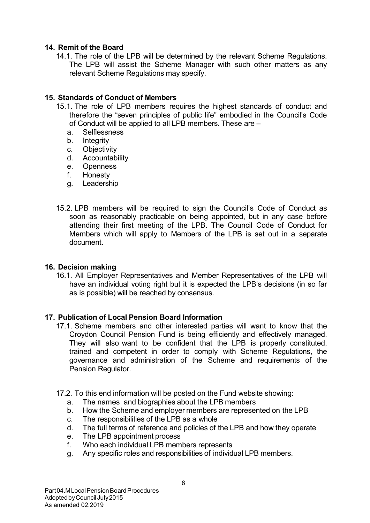# 14. Remit of the Board

14.1. The role of the LPB will be determined by the relevant Scheme Regulations. The LPB will assist the Scheme Manager with such other matters as any relevant Scheme Regulations may specify.

#### 15. Standards of Conduct of Members

- 15.1. The role of LPB members requires the highest standards of conduct and therefore the "seven principles of public life" embodied in the Council's Code of Conduct will be applied to all LPB members. These are –
	- a. Selflessness
	- b. Integrity
	- c. Objectivity
	- d. Accountability
	- e. Openness
	- f. Honesty
	- g. Leadership
- 15.2. LPB members will be required to sign the Council's Code of Conduct as soon as reasonably practicable on being appointed, but in any case before attending their first meeting of the LPB. The Council Code of Conduct for Members which will apply to Members of the LPB is set out in a separate document.

#### 16. Decision making

16.1. All Employer Representatives and Member Representatives of the LPB will have an individual voting right but it is expected the LPB's decisions (in so far as is possible) will be reached by consensus.

#### 17. Publication of Local Pension Board Information

17.1. Scheme members and other interested parties will want to know that the Croydon Council Pension Fund is being efficiently and effectively managed. They will also want to be confident that the LPB is properly constituted, trained and competent in order to comply with Scheme Regulations, the governance and administration of the Scheme and requirements of the Pension Regulator.

#### 17.2. To this end information will be posted on the Fund website showing:

- a. The names and biographies about the LPB members
- b. How the Scheme and employer members are represented on the LPB
- c. The responsibilities of the LPB as a whole
- d. The full terms of reference and policies of the LPB and how they operate
- e. The LPB appointment process
- f. Who each individual LPB members represents
- g. Any specific roles and responsibilities of individual LPB members.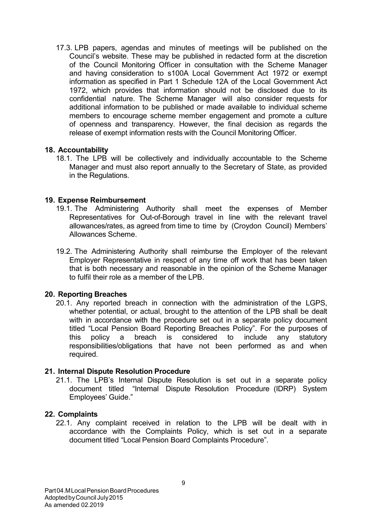17.3. LPB papers, agendas and minutes of meetings will be published on the Council's website. These may be published in redacted form at the discretion of the Council Monitoring Officer in consultation with the Scheme Manager and having consideration to s100A Local Government Act 1972 or exempt information as specified in Part 1 Schedule 12A of the Local Government Act 1972, which provides that information should not be disclosed due to its confidential nature. The Scheme Manager will also consider requests for additional information to be published or made available to individual scheme members to encourage scheme member engagement and promote a culture of openness and transparency. However, the final decision as regards the release of exempt information rests with the Council Monitoring Officer.

#### 18. Accountability

18.1. The LPB will be collectively and individually accountable to the Scheme Manager and must also report annually to the Secretary of State, as provided in the Regulations.

#### 19. Expense Reimbursement

- 19.1. The Administering Authority shall meet the expenses of Member Representatives for Out-of-Borough travel in line with the relevant travel allowances/rates, as agreed from time to time by (Croydon Council) Members' Allowances Scheme.
- 19.2. The Administering Authority shall reimburse the Employer of the relevant Employer Representative in respect of any time off work that has been taken that is both necessary and reasonable in the opinion of the Scheme Manager to fulfil their role as a member of the LPB.

#### 20. Reporting Breaches

20.1. Any reported breach in connection with the administration of the LGPS, whether potential, or actual, brought to the attention of the LPB shall be dealt with in accordance with the procedure set out in a separate policy document titled "Local Pension Board Reporting Breaches Policy". For the purposes of this policy a breach is considered to include any statutory responsibilities/obligations that have not been performed as and when required.

#### 21. Internal Dispute Resolution Procedure

21.1. The LPB's Internal Dispute Resolution is set out in a separate policy document titled "Internal Dispute Resolution Procedure (IDRP) System Employees' Guide."

#### 22. Complaints

22.1. Any complaint received in relation to the LPB will be dealt with in accordance with the Complaints Policy, which is set out in a separate document titled "Local Pension Board Complaints Procedure".